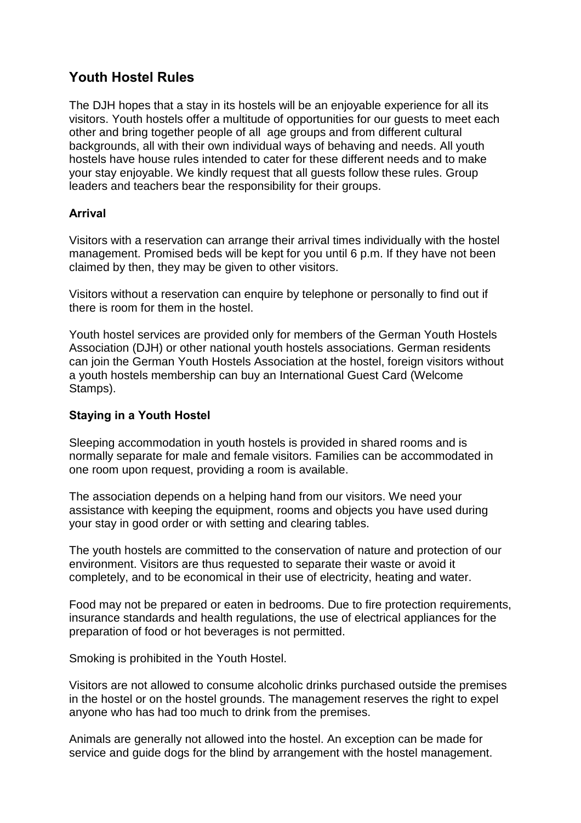# **Youth Hostel Rules**

The DJH hopes that a stay in its hostels will be an enjoyable experience for all its visitors. Youth hostels offer a multitude of opportunities for our guests to meet each other and bring together people of all age groups and from different cultural backgrounds, all with their own individual ways of behaving and needs. All youth hostels have house rules intended to cater for these different needs and to make your stay enjoyable. We kindly request that all guests follow these rules. Group leaders and teachers bear the responsibility for their groups.

### **Arrival**

Visitors with a reservation can arrange their arrival times individually with the hostel management. Promised beds will be kept for you until 6 p.m. If they have not been claimed by then, they may be given to other visitors.

Visitors without a reservation can enquire by telephone or personally to find out if there is room for them in the hostel.

Youth hostel services are provided only for members of the German Youth Hostels Association (DJH) or other national youth hostels associations. German residents can join the German Youth Hostels Association at the hostel, foreign visitors without a youth hostels membership can buy an International Guest Card (Welcome Stamps).

## **Staying in a Youth Hostel**

Sleeping accommodation in youth hostels is provided in shared rooms and is normally separate for male and female visitors. Families can be accommodated in one room upon request, providing a room is available.

The association depends on a helping hand from our visitors. We need your assistance with keeping the equipment, rooms and objects you have used during your stay in good order or with setting and clearing tables.

The youth hostels are committed to the conservation of nature and protection of our environment. Visitors are thus requested to separate their waste or avoid it completely, and to be economical in their use of electricity, heating and water.

Food may not be prepared or eaten in bedrooms. Due to fire protection requirements, insurance standards and health regulations, the use of electrical appliances for the preparation of food or hot beverages is not permitted.

Smoking is prohibited in the Youth Hostel.

Visitors are not allowed to consume alcoholic drinks purchased outside the premises in the hostel or on the hostel grounds. The management reserves the right to expel anyone who has had too much to drink from the premises.

Animals are generally not allowed into the hostel. An exception can be made for service and guide dogs for the blind by arrangement with the hostel management.